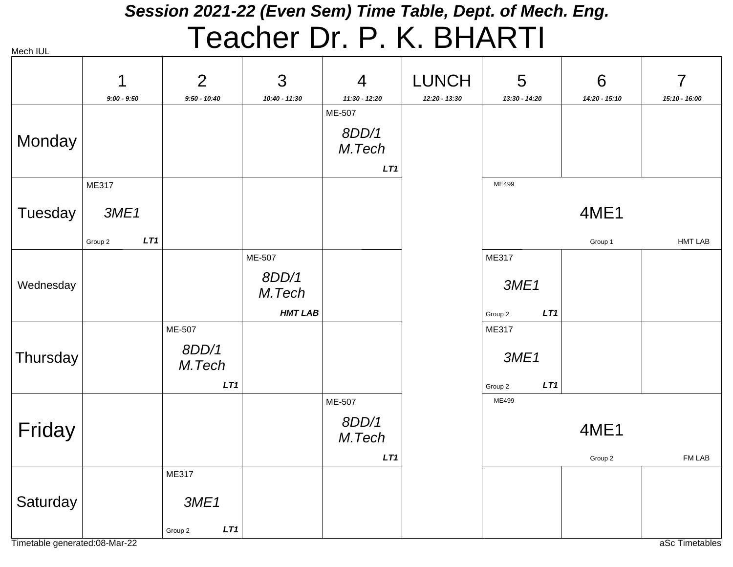#### *Session 2021-22 (Even Sem) Time Table, Dept. of Mech. Eng.* Teacher Dr. P. K. BHARTI

| בטו וטטוו |                |                 |                 |                 |                 |                |               |                |
|-----------|----------------|-----------------|-----------------|-----------------|-----------------|----------------|---------------|----------------|
|           | 1              | $\overline{2}$  | 3               | $\overline{4}$  | <b>LUNCH</b>    | 5              | 6             | $\overline{7}$ |
|           | $9:00 - 9:50$  | $9:50 - 10:40$  | 10:40 - 11:30   | 11:30 - 12:20   | $12:20 - 13:30$ | 13:30 - 14:20  | 14:20 - 15:10 | 15:10 - 16:00  |
|           |                |                 |                 | ME-507          |                 |                |               |                |
| Monday    |                |                 |                 | 8DD/1<br>M.Tech |                 |                |               |                |
|           |                |                 |                 | LT1             |                 |                |               |                |
|           | ME317          |                 |                 |                 |                 | ME499          |               |                |
| Tuesday   | 3ME1           |                 |                 |                 |                 |                | 4ME1          |                |
|           | LT1<br>Group 2 |                 |                 |                 |                 |                | Group 1       | <b>HMT LAB</b> |
|           |                |                 | ME-507          |                 |                 | ME317          |               |                |
| Wednesday |                |                 | 8DD/1<br>M.Tech |                 |                 | 3ME1           |               |                |
|           |                |                 | <b>HMT LAB</b>  |                 |                 | LT1<br>Group 2 |               |                |
|           |                | ME-507          |                 |                 |                 | ME317          |               |                |
| Thursday  |                | 8DD/1<br>M.Tech |                 |                 |                 | 3ME1           |               |                |
|           |                | LT1             |                 |                 |                 | LT1<br>Group 2 |               |                |
|           |                |                 |                 | ME-507          |                 | ME499          |               |                |
| Friday    |                |                 |                 | 8DD/1<br>M.Tech |                 |                | 4ME1          |                |
|           |                |                 |                 | LT1             |                 |                | Group 2       | FM LAB         |
|           |                | ME317           |                 |                 |                 |                |               |                |
| Saturday  |                | 3ME1            |                 |                 |                 |                |               |                |
|           |                | LT1<br>Group 2  |                 |                 |                 |                |               |                |

Timetable generated:08-Mar-22 and the state of the state of the state of the state of the state of the state of the state of the state of the state of the state of the state of the state of the state of the state of the st

Mech IIII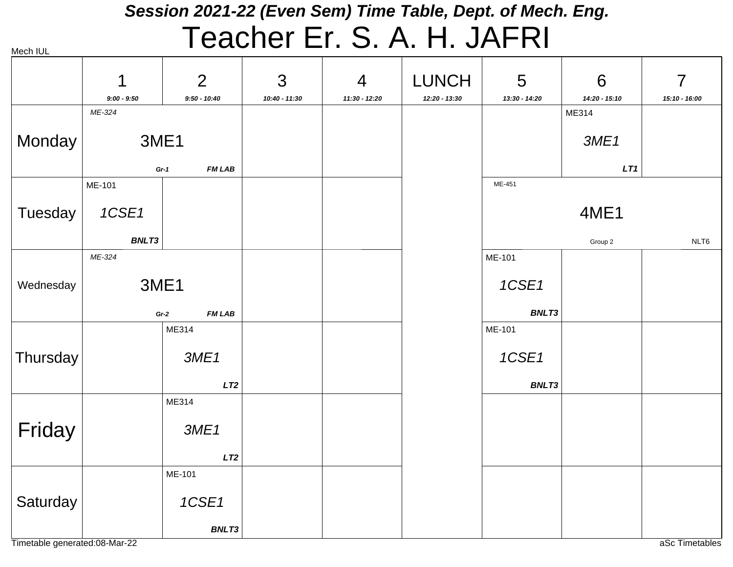#### *Session 2021-22 (Even Sem) Time Table, Dept. of Mech. Eng.*

# Teacher Er. S. A. H. JAFRI

|           | 1             | $\overline{2}$ | 3               | 4             | <b>LUNCH</b>  | 5             | 6             | $\overline{7}$ |
|-----------|---------------|----------------|-----------------|---------------|---------------|---------------|---------------|----------------|
|           | $9:00 - 9:50$ | $9:50 - 10:40$ | $10:40 - 11:30$ | 11:30 - 12:20 | 12:20 - 13:30 | 13:30 - 14:20 | 14:20 - 15:10 | 15:10 - 16:00  |
|           | ME-324        |                |                 |               |               |               | ME314         |                |
| Monday    | 3ME1          |                |                 |               |               |               | 3ME1          |                |
|           | $Gr-1$        | <b>FM LAB</b>  |                 |               |               |               | LT1           |                |
|           | ME-101        |                |                 |               |               | ME-451        |               |                |
| Tuesday   | 1CSE1         |                |                 |               |               |               | 4ME1          |                |
|           | BNLT3         |                |                 |               |               |               | Group 2       | NLT6           |
|           | ME-324        |                |                 |               |               | ME-101        |               |                |
| Wednesday | 3ME1          |                |                 |               |               | 1CSE1         |               |                |
|           | $Gr-2$        | <b>FM LAB</b>  |                 |               |               | <b>BNLT3</b>  |               |                |
|           |               | ME314          |                 |               |               | ME-101        |               |                |
| Thursday  |               | 3ME1           |                 |               |               | 1CSE1         |               |                |
|           |               | LT2            |                 |               |               | <b>BNLT3</b>  |               |                |
|           |               | ME314          |                 |               |               |               |               |                |
| Friday    |               | 3ME1           |                 |               |               |               |               |                |
|           |               | LT2            |                 |               |               |               |               |                |
|           |               | ME-101         |                 |               |               |               |               |                |
| Saturday  |               | 1CSE1          |                 |               |               |               |               |                |
|           |               | <b>BNLT3</b>   |                 |               |               |               |               |                |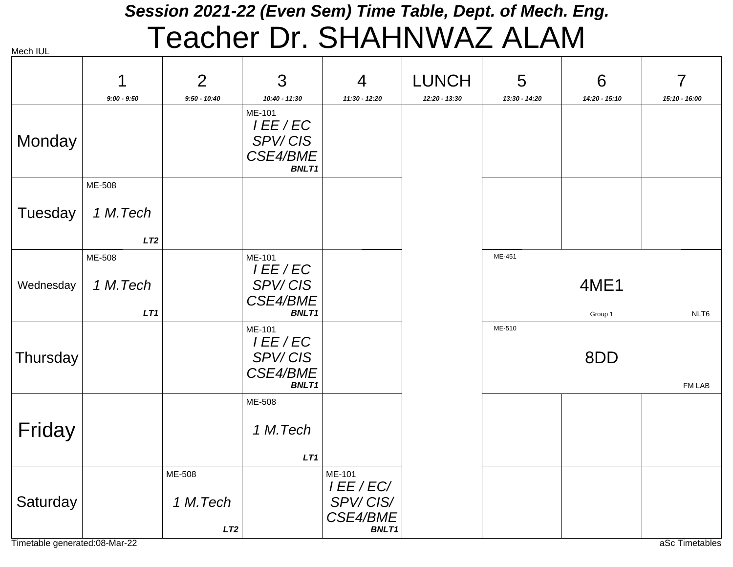#### *Session 2021-22 (Even Sem) Time Table, Dept. of Mech. Eng.* Teacher Dr. SHAHNWAZ ALAM

| Mech IUL |  |
|----------|--|

|           | 1<br>$9:00 - 9:50$        | $\overline{2}$<br>$9:50 - 10:40$ | 3<br>$10:40 - 11:30$                                       | $\overline{4}$<br>11:30 - 12:20                              | <b>LUNCH</b>  | 5<br>13:30 - 14:20 | 6<br>14:20 - 15:10 | 7<br>15:10 - 16:00 |
|-----------|---------------------------|----------------------------------|------------------------------------------------------------|--------------------------------------------------------------|---------------|--------------------|--------------------|--------------------|
| Monday    |                           |                                  | ME-101<br>I EE / EC<br>SPV/CIS<br>CSE4/BME<br><b>BNLT1</b> |                                                              | 12:20 - 13:30 |                    |                    |                    |
| Tuesday   | ME-508<br>1 M.Tech<br>LT2 |                                  |                                                            |                                                              |               |                    |                    |                    |
| Wednesday | ME-508<br>1 M.Tech<br>LT1 |                                  | ME-101<br>I EE / EC<br>SPV/CIS<br>CSE4/BME<br><b>BNLT1</b> |                                                              |               | ME-451             | 4ME1<br>Group 1    | NLT6               |
| Thursday  |                           |                                  | ME-101<br>I EE / EC<br>SPV/CIS<br>CSE4/BME<br><b>BNLT1</b> |                                                              |               | ME-510             | 8DD                | FM LAB             |
| Friday    |                           |                                  | ME-508<br>1 M.Tech<br>LT1                                  |                                                              |               |                    |                    |                    |
| Saturday  |                           | ME-508<br>1 M.Tech<br>LT2        |                                                            | ME-101<br>I EE / EC/<br>SPV/CIS/<br>CSE4/BME<br><b>BNLT1</b> |               |                    |                    |                    |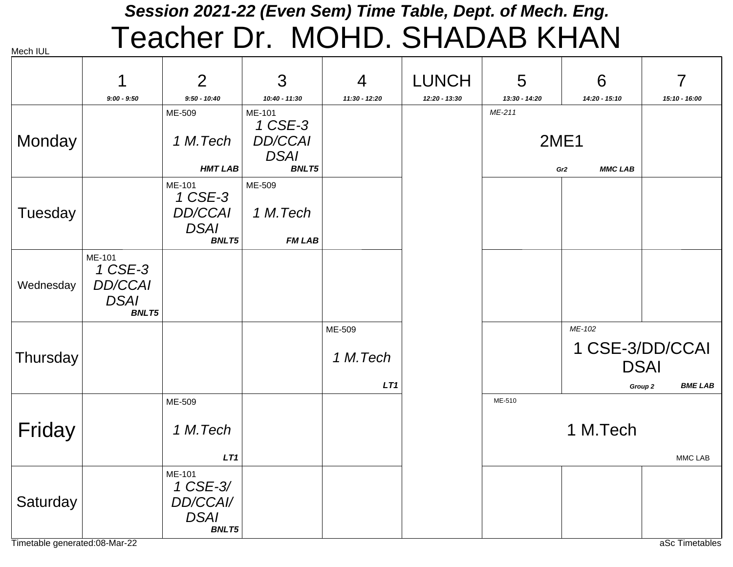#### *Session 2021-22 (Even Sem) Time Table, Dept. of Mech. Eng.* Teacher Dr. MOHD. SHADAB KHAN

|           |                                                                    | $\overline{2}$                                                     | 3                                                                  | $\overline{4}$            | <b>LUNCH</b>  | 5                     | 6                                 | 7                                                                      |
|-----------|--------------------------------------------------------------------|--------------------------------------------------------------------|--------------------------------------------------------------------|---------------------------|---------------|-----------------------|-----------------------------------|------------------------------------------------------------------------|
|           | $9:00 - 9:50$                                                      | $9:50 - 10:40$                                                     | 10:40 - 11:30                                                      | 11:30 - 12:20             | 12:20 - 13:30 | 13:30 - 14:20         | 14:20 - 15:10                     | 15:10 - 16:00                                                          |
| Monday    |                                                                    | ME-509<br>1 M.Tech<br><b>HMT LAB</b>                               | ME-101<br>1 CSE-3<br><b>DD/CCAI</b><br><b>DSAI</b><br><b>BNLT5</b> |                           |               | ME-211<br><b>2ME1</b> | <b>MMC LAB</b><br>Gr <sub>2</sub> |                                                                        |
| Tuesday   |                                                                    | ME-101<br>1 CSE-3<br><b>DD/CCAI</b><br><b>DSAI</b><br><b>BNLT5</b> | ME-509<br>1 M.Tech<br><b>FM LAB</b>                                |                           |               |                       |                                   |                                                                        |
| Wednesday | ME-101<br>1 CSE-3<br><b>DD/CCAI</b><br><b>DSAI</b><br><b>BNLT5</b> |                                                                    |                                                                    |                           |               |                       |                                   |                                                                        |
| Thursday  |                                                                    |                                                                    |                                                                    | ME-509<br>1 M.Tech<br>LT1 |               |                       | ME-102                            | 1 CSE-3/DD/CCAI<br><b>DSAI</b><br><b>BME LAB</b><br>Group <sub>2</sub> |
| Friday    |                                                                    | ME-509<br>1 M.Tech<br>LT1                                          |                                                                    |                           |               | ME-510                | 1 M.Tech                          | MMC LAB                                                                |
| Saturday  |                                                                    | ME-101<br>1 CSE-3/<br>DD/CCAI/<br><b>DSAI</b><br><b>BNLT5</b>      |                                                                    |                           |               |                       |                                   |                                                                        |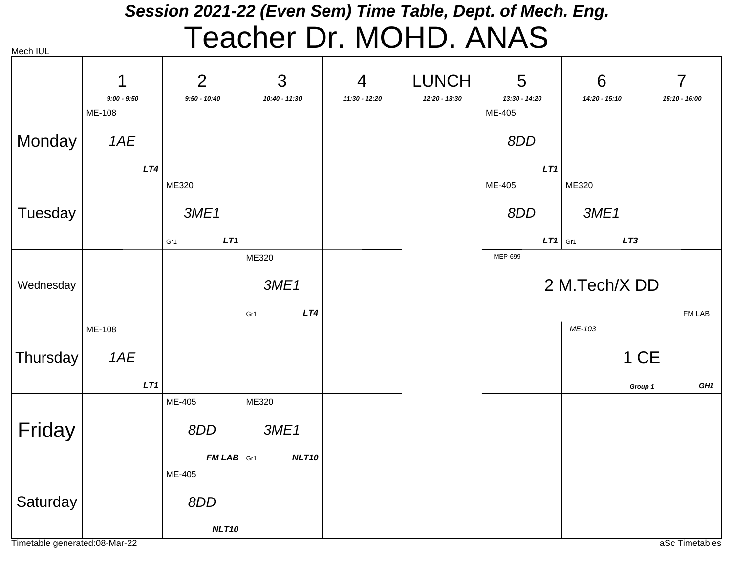## *Session 2021-22 (Even Sem) Time Table, Dept. of Mech. Eng.* Teacher Dr. MOHD. ANAS

|           | 1             | $\overline{2}$ | 3             | 4               | <b>LUNCH</b>  | 5             | 6                  | $\overline{7}$             |
|-----------|---------------|----------------|---------------|-----------------|---------------|---------------|--------------------|----------------------------|
|           | $9:00 - 9:50$ | $9:50 - 10:40$ | 10:40 - 11:30 | $11:30 - 12:20$ | 12:20 - 13:30 | 13:30 - 14:20 | 14:20 - 15:10      | 15:10 - 16:00              |
|           | ME-108        |                |               |                 |               | ME-405        |                    |                            |
| Monday    | 1AE           |                |               |                 |               | 8DD           |                    |                            |
|           | LT4           |                |               |                 |               | LT1           |                    |                            |
|           |               | ME320          |               |                 |               | ME-405        | ME320              |                            |
| Tuesday   |               | 3ME1           |               |                 |               | 8DD           | 3ME1               |                            |
|           |               | LT1<br>Gr1     |               |                 |               | LT1           | LT3<br>$\vert$ Gr1 |                            |
|           |               |                | ME320         |                 |               | MEP-699       |                    |                            |
| Wednesday |               |                | 3ME1          |                 |               |               | 2 M.Tech/X DD      |                            |
|           |               |                | LT4<br>Gr1    |                 |               |               |                    | FM LAB                     |
|           | ME-108        |                |               |                 |               |               | ME-103             |                            |
| Thursday  | 1AE           |                |               |                 |               |               |                    | 1 CE                       |
|           | LT1           |                |               |                 |               |               |                    | GH <sub>1</sub><br>Group 1 |
|           |               | ME-405         | ME320         |                 |               |               |                    |                            |
| Friday    |               | 8DD            | 3ME1          |                 |               |               |                    |                            |
|           |               | $FMLAB$ Gr1    | NLT10         |                 |               |               |                    |                            |
|           |               | ME-405         |               |                 |               |               |                    |                            |
| Saturday  |               | 8DD            |               |                 |               |               |                    |                            |
|           |               | NLT10          |               |                 |               |               |                    |                            |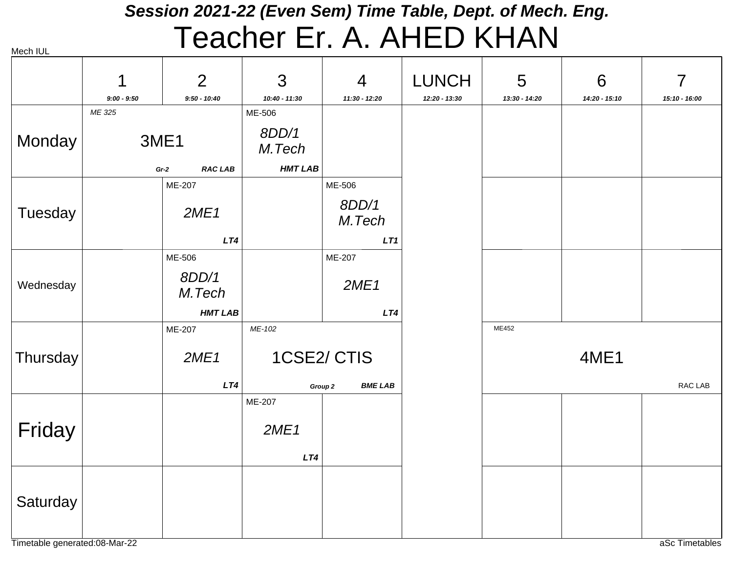#### *Session 2021-22 (Even Sem) Time Table, Dept. of Mech. Eng.*

# Teacher Er. A. AHED KHAN

|           | 1                       | $\overline{2}$           | 3                         | $\overline{4}$            | <b>LUNCH</b>  | 5               | 6             | $\overline{7}$ |
|-----------|-------------------------|--------------------------|---------------------------|---------------------------|---------------|-----------------|---------------|----------------|
|           | $9:00 - 9:50$<br>ME 325 | $9:50 - 10:40$           | $10:40 - 11:30$<br>ME-506 | 11:30 - 12:20             | 12:20 - 13:30 | $13:30 - 14:20$ | 14:20 - 15:10 | 15:10 - 16:00  |
| Monday    |                         | 3ME1                     | 8DD/1<br>M.Tech           |                           |               |                 |               |                |
|           |                         | <b>RAC LAB</b><br>$Gr-2$ | <b>HMT LAB</b>            |                           |               |                 |               |                |
|           |                         | ME-207                   |                           | ME-506                    |               |                 |               |                |
| Tuesday   |                         | 2ME1                     |                           | 8DD/1<br>M.Tech           |               |                 |               |                |
|           |                         | LT4                      |                           | LT1                       |               |                 |               |                |
|           |                         | ME-506                   |                           | ME-207                    |               |                 |               |                |
| Wednesday |                         | 8DD/1<br>M.Tech          |                           | 2ME1                      |               |                 |               |                |
|           |                         | <b>HMT LAB</b>           |                           | LT4                       |               |                 |               |                |
|           |                         | ME-207                   | ME-102                    |                           |               | ME452           |               |                |
| Thursday  |                         | 2ME1                     |                           | 1CSE2/CTIS                |               |                 | 4ME1          |                |
|           |                         | LT4                      |                           | <b>BME LAB</b><br>Group 2 |               |                 |               | RAC LAB        |
|           |                         |                          | ME-207                    |                           |               |                 |               |                |
| Friday    |                         |                          | 2ME1                      |                           |               |                 |               |                |
|           |                         |                          | LT4                       |                           |               |                 |               |                |
| Saturday  |                         |                          |                           |                           |               |                 |               |                |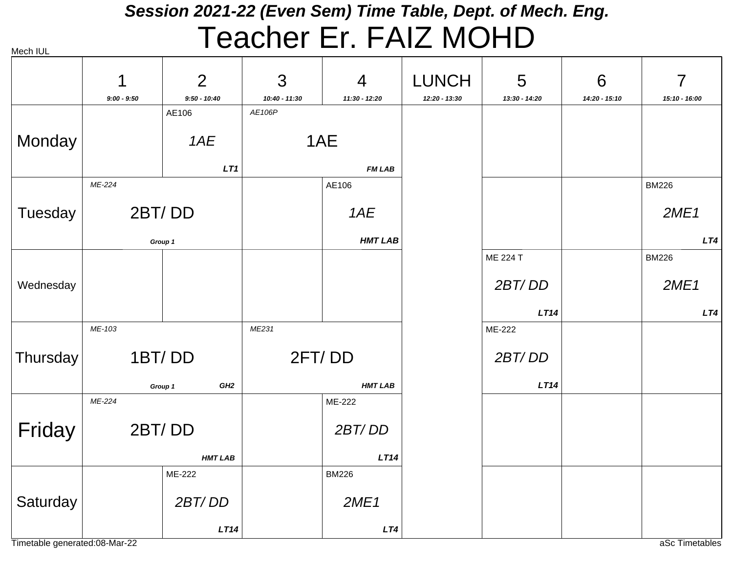## *Session 2021-22 (Even Sem) Time Table, Dept. of Mech. Eng.* Teacher Er. FAIZ MOHD

|           | 1             | $\overline{2}$             | 3               | $\overline{4}$ | <b>LUNCH</b>  | 5             | 6             | $\overline{7}$ |
|-----------|---------------|----------------------------|-----------------|----------------|---------------|---------------|---------------|----------------|
|           | $9:00 - 9:50$ | $9:50 - 10:40$             | $10:40 - 11:30$ | 11:30 - 12:20  | 12:20 - 13:30 | 13:30 - 14:20 | 14:20 - 15:10 | 15:10 - 16:00  |
|           |               | AE106                      | AE106P          |                |               |               |               |                |
| Monday    |               | 1AE                        |                 | 1AE            |               |               |               |                |
|           |               | LT1                        |                 | <b>FM LAB</b>  |               |               |               |                |
|           | ME-224        |                            |                 | AE106          |               |               |               | <b>BM226</b>   |
| Tuesday   | 2BT/DD        |                            |                 | 1AE            |               |               |               | 2ME1           |
|           |               | Group 1                    |                 | <b>HMT LAB</b> |               |               |               | LT4            |
|           |               |                            |                 |                |               | ME 224 T      |               | <b>BM226</b>   |
| Wednesday |               |                            |                 |                |               | 2BT/DD        |               | 2ME1           |
|           |               |                            |                 |                |               | LT14          |               | LT4            |
|           | ME-103        |                            | ME231           |                |               | ME-222        |               |                |
| Thursday  |               | 1BT/DD                     |                 | 2FT/DD         |               | 2BT/DD        |               |                |
|           |               | GH <sub>2</sub><br>Group 1 |                 | <b>HMT LAB</b> |               | LT14          |               |                |
|           | ME-224        |                            |                 | ME-222         |               |               |               |                |
| Friday    |               | 2BT/DD                     |                 | 2BT/DD         |               |               |               |                |
|           |               | <b>HMT LAB</b>             |                 | LT14           |               |               |               |                |
|           |               | ME-222                     |                 | <b>BM226</b>   |               |               |               |                |
| Saturday  |               | 2BT/DD                     |                 | 2ME1           |               |               |               |                |
|           |               | LT14                       |                 | LT4            |               |               |               |                |

Timetable generated:08-Mar-22 and the state of the state of the state of the state of the state of the state of the state of the state of the state of the state of the state of the state of the state of the state of the st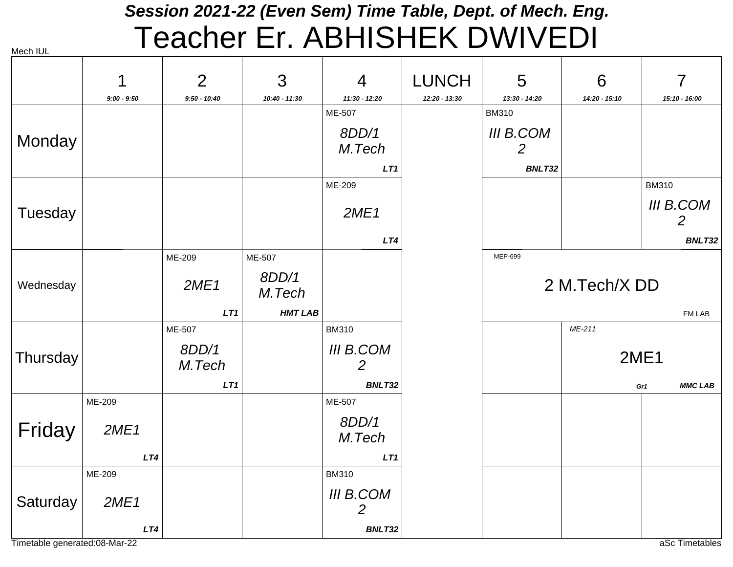## *Session 2021-22 (Even Sem) Time Table, Dept. of Mech. Eng.* Teacher Er. ABHISHEK DWIVEDI

Mech IUL

|           |               | $\overline{2}$  | 3               | $\overline{4}$                     | <b>LUNCH</b>  | 5                     | 6             | $\overline{7}$        |
|-----------|---------------|-----------------|-----------------|------------------------------------|---------------|-----------------------|---------------|-----------------------|
|           | $9:00 - 9:50$ | $9:50 - 10:40$  | 10:40 - 11:30   | 11:30 - 12:20                      | 12:20 - 13:30 | 13:30 - 14:20         | 14:20 - 15:10 | 15:10 - 16:00         |
|           |               |                 |                 | ME-507                             |               | <b>BM310</b>          |               |                       |
| Monday    |               |                 |                 | 8DD/1<br>M.Tech                    |               | <b>III B.COM</b><br>2 |               |                       |
|           |               |                 |                 | LT <sub>1</sub>                    |               | BNLT32                |               |                       |
|           |               |                 |                 | ME-209                             |               |                       |               | <b>BM310</b>          |
| Tuesday   |               |                 |                 | 2ME1                               |               |                       |               | III B.COM<br>2        |
|           |               |                 |                 | LT4                                |               |                       |               | BNLT32                |
|           |               | ME-209          | ME-507          |                                    |               | MEP-699               |               |                       |
| Wednesday |               | 2ME1            | 8DD/1<br>M.Tech |                                    |               |                       | 2 M.Tech/X DD |                       |
|           |               | LT1             | <b>HMT LAB</b>  |                                    |               |                       |               | FM LAB                |
|           |               | ME-507          |                 | <b>BM310</b>                       |               |                       | ME-211        |                       |
| Thursday  |               | 8DD/1<br>M.Tech |                 | III B.COM<br>$\overline{2}$        |               |                       |               | 2ME1                  |
|           |               | LT1             |                 | BNLT32                             |               |                       |               | <b>MMC LAB</b><br>Gr1 |
|           | ME-209        |                 |                 | ME-507                             |               |                       |               |                       |
| Friday    | 2ME1          |                 |                 | 8DD/1<br>M.Tech                    |               |                       |               |                       |
|           | LT4           |                 |                 | LT1                                |               |                       |               |                       |
|           | ME-209        |                 |                 | <b>BM310</b>                       |               |                       |               |                       |
| Saturday  | 2ME1          |                 |                 | <b>III B.COM</b><br>$\overline{2}$ |               |                       |               |                       |
|           | LT4           |                 |                 | BNLT32                             |               |                       |               |                       |

Timetable generated:08-Mar-22 and the state of the state of the state of the state of the state of the state of the state of the state of the state of the state of the state of the state of the state of the state of the st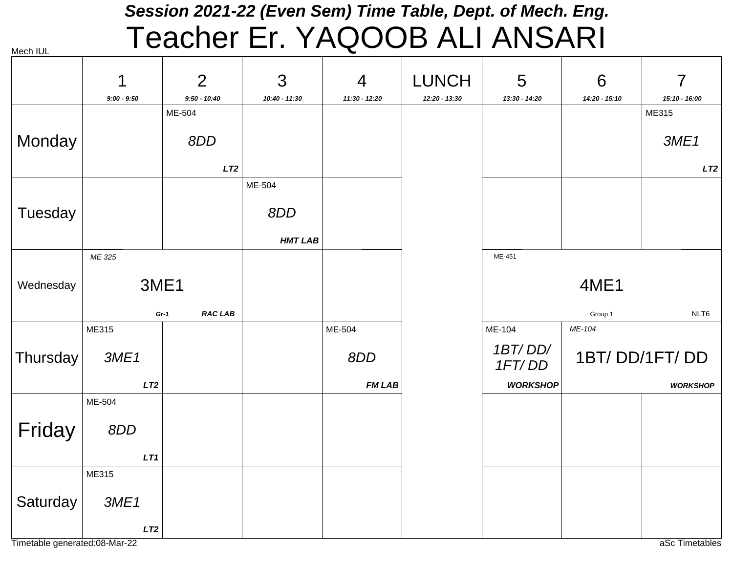# *Session 2021-22 (Even Sem) Time Table, Dept. of Mech. Eng.* Teacher Er. YAQOOB ALI ANSARI

|           | 1             | $\overline{2}$           | 3              | $\overline{4}$ | <b>LUNCH</b>  | 5                 | 6             | $\overline{7}$  |
|-----------|---------------|--------------------------|----------------|----------------|---------------|-------------------|---------------|-----------------|
|           | $9:00 - 9:50$ | $9:50 - 10:40$           | 10:40 - 11:30  | 11:30 - 12:20  | 12:20 - 13:30 | 13:30 - 14:20     | 14:20 - 15:10 | 15:10 - 16:00   |
|           |               | ME-504                   |                |                |               |                   |               | ME315           |
| Monday    |               | 8DD                      |                |                |               |                   |               | 3ME1            |
|           |               | LT2                      |                |                |               |                   |               | LT2             |
|           |               |                          | ME-504         |                |               |                   |               |                 |
| Tuesday   |               |                          | 8DD            |                |               |                   |               |                 |
|           |               |                          | <b>HMT LAB</b> |                |               |                   |               |                 |
|           | ME 325        |                          |                |                |               | ME-451            |               |                 |
| Wednesday |               | 3ME1                     |                |                |               |                   | 4ME1          |                 |
|           |               | <b>RAC LAB</b><br>$Gr-1$ |                |                |               |                   | Group 1       | NLT6            |
|           | ME315         |                          |                | ME-504         |               | ME-104            | ME-104        |                 |
| Thursday  | 3ME1          |                          |                | 8DD            |               | 1BT/DD/<br>1FT/DD |               | 1BT/DD/1FT/DD   |
|           | LT2           |                          |                | <b>FM LAB</b>  |               | <b>WORKSHOP</b>   |               | <b>WORKSHOP</b> |
|           | ME-504        |                          |                |                |               |                   |               |                 |
| Friday    | 8DD           |                          |                |                |               |                   |               |                 |
|           | LT1           |                          |                |                |               |                   |               |                 |
|           | ME315         |                          |                |                |               |                   |               |                 |
| Saturday  | 3ME1          |                          |                |                |               |                   |               |                 |
|           | LT2           |                          |                |                |               |                   |               |                 |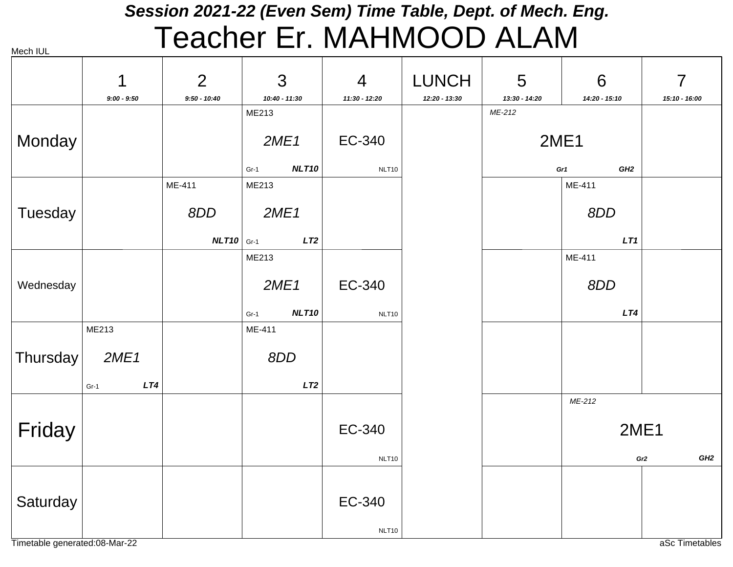## *Session 2021-22 (Even Sem) Time Table, Dept. of Mech. Eng.* Teacher Er. MAHMOOD ALAM

| Mech IUL |  |
|----------|--|
|          |  |

|                               | 1             | $\overline{2}$ | 3                      | $\overline{4}$ | <b>LUNCH</b>  | 5                       | 6                      | $\overline{7}$         |
|-------------------------------|---------------|----------------|------------------------|----------------|---------------|-------------------------|------------------------|------------------------|
|                               | $9:00 - 9:50$ | $9:50 - 10:40$ | 10:40 - 11:30<br>ME213 | 11:30 - 12:20  | 12:20 - 13:30 | 13:30 - 14:20<br>ME-212 | 14:20 - 15:10          | 15:10 - 16:00          |
| Monday                        |               |                | 2ME1                   | EC-340         |               | 2ME1                    |                        |                        |
|                               |               |                | NLT10<br>$Gr-1$        | NLT10          |               |                         | GH <sub>2</sub><br>Gr1 |                        |
|                               |               | ME-411         | ME213                  |                |               |                         | ME-411                 |                        |
| Tuesday                       |               | 8DD            | 2ME1                   |                |               |                         | 8DD                    |                        |
|                               |               | $NLT10$ Gr-1   | LT2                    |                |               |                         | LT1                    |                        |
|                               |               |                | ME213                  |                |               |                         | ME-411                 |                        |
| Wednesday                     |               |                | 2ME1                   | EC-340         |               |                         | 8DD                    |                        |
|                               |               |                | NLT10<br>$Gr-1$        | NLT10          |               |                         | LT4                    |                        |
|                               | ME213         |                | ME-411                 |                |               |                         |                        |                        |
| <b>Thursday</b>               | 2ME1          |                | 8DD                    |                |               |                         |                        |                        |
|                               | LT4<br>$Gr-1$ |                | LT2                    |                |               |                         |                        |                        |
|                               |               |                |                        |                |               |                         | ME-212                 |                        |
| Friday                        |               |                |                        | EC-340         |               |                         | 2ME1                   |                        |
|                               |               |                |                        | NLT10          |               |                         |                        | GH2<br>Gr <sub>2</sub> |
|                               |               |                |                        |                |               |                         |                        |                        |
| Saturday                      |               |                |                        | EC-340         |               |                         |                        |                        |
| Timetable generated:08-Mar-22 |               |                |                        | NLT10          |               |                         |                        | aSc Timetables         |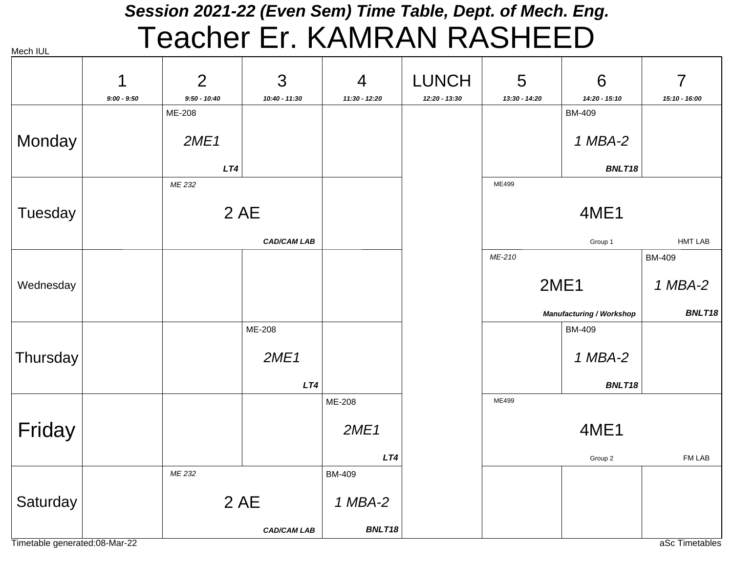# *Session 2021-22 (Even Sem) Time Table, Dept. of Mech. Eng.* Teacher Er. KAMRAN RASHEED

| Mech IUL |  |
|----------|--|
|          |  |

|                               | 1             | $\overline{2}$ | 3                  | $\overline{4}$ | <b>LUNCH</b>  | 5             | 6                               | 7              |
|-------------------------------|---------------|----------------|--------------------|----------------|---------------|---------------|---------------------------------|----------------|
|                               | $9:00 - 9:50$ | $9:50 - 10:40$ | 10:40 - 11:30      | 11:30 - 12:20  | 12:20 - 13:30 | 13:30 - 14:20 | 14:20 - 15:10                   | 15:10 - 16:00  |
|                               |               | ME-208         |                    |                |               |               | <b>BM-409</b>                   |                |
| Monday                        |               | 2ME1           |                    |                |               |               | 1 MBA-2                         |                |
|                               |               | LT4            |                    |                |               |               | BNLT18                          |                |
|                               |               | ME 232         |                    |                |               | ME499         |                                 |                |
| Tuesday                       |               |                | 2 AE               |                |               | 4ME1          |                                 |                |
|                               |               |                | <b>CAD/CAM LAB</b> |                |               |               | Group 1                         | <b>HMT LAB</b> |
|                               |               |                |                    |                |               | ME-210        |                                 | <b>BM-409</b>  |
| Wednesday                     |               |                |                    |                |               | 2ME1          |                                 | 1 MBA-2        |
|                               |               |                |                    |                |               |               | <b>Manufacturing / Workshop</b> | BNLT18         |
|                               |               |                | ME-208             |                |               |               | <b>BM-409</b>                   |                |
| Thursday                      |               |                | 2ME1               |                |               |               | 1 MBA-2                         |                |
|                               |               |                | LT4                |                |               |               | BNLT18                          |                |
|                               |               |                |                    | ME-208         |               | ME499         |                                 |                |
| Friday                        |               |                |                    | 2ME1           |               |               | 4ME1                            |                |
|                               |               |                |                    | LT4            |               |               | Group 2                         | FM LAB         |
|                               |               | ME 232         |                    | <b>BM-409</b>  |               |               |                                 |                |
| Saturday                      |               | 2 AE           |                    | 1 MBA-2        |               |               |                                 |                |
|                               |               |                | <b>CAD/CAM LAB</b> | BNLT18         |               |               |                                 |                |
| Timetable generated:08-Mar-22 |               |                |                    |                |               |               |                                 | aSc Timetables |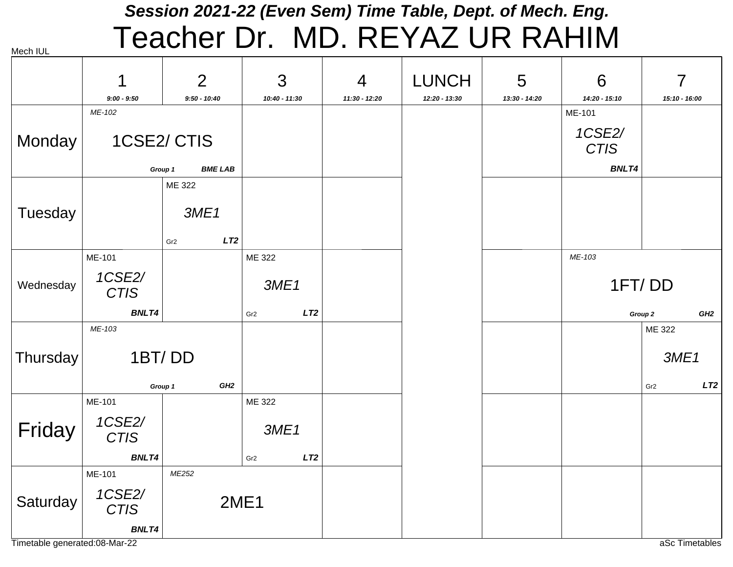#### *Session 2021-22 (Even Sem) Time Table, Dept. of Mech. Eng.* Teacher Dr. MD. REYAZ UR RAHIM

|           | 1                     | $\overline{2}$            | 3                      | 4             | <b>LUNCH</b>  | 5             | 6                     | 7                          |
|-----------|-----------------------|---------------------------|------------------------|---------------|---------------|---------------|-----------------------|----------------------------|
|           | $9:00 - 9:50$         | $9:50 - 10:40$            | 10:40 - 11:30          | 11:30 - 12:20 | 12:20 - 13:30 | 13:30 - 14:20 | 14:20 - 15:10         | 15:10 - 16:00              |
|           | ME-102                |                           |                        |               |               |               | ME-101                |                            |
| Monday    |                       | 1CSE2/CTIS                |                        |               |               |               | 1CSE2/<br><b>CTIS</b> |                            |
|           |                       | <b>BME LAB</b><br>Group 1 |                        |               |               |               | <b>BNLT4</b>          |                            |
|           |                       | ME 322                    |                        |               |               |               |                       |                            |
| Tuesday   |                       | 3ME1                      |                        |               |               |               |                       |                            |
|           |                       | LT2<br>Gr <sub>2</sub>    |                        |               |               |               |                       |                            |
|           | ME-101                |                           | ME 322                 |               |               |               | ME-103                |                            |
| Wednesday | 1CSE2/<br><b>CTIS</b> |                           | 3ME1                   |               |               |               |                       | 1FT/DD                     |
|           | <b>BNLT4</b>          |                           | LT2<br>Gr <sub>2</sub> |               |               |               |                       | GH <sub>2</sub><br>Group 2 |
|           | ME-103                |                           |                        |               |               |               |                       | ME 322                     |
| Thursday  | 1BT/DD                |                           |                        |               |               |               |                       | 3ME1                       |
|           |                       | GH2<br>Group 1            |                        |               |               |               |                       | LT2<br>Gr <sub>2</sub>     |
|           | ME-101                |                           | ME 322                 |               |               |               |                       |                            |
| Friday    | 1CSE2/<br><b>CTIS</b> |                           | 3ME1                   |               |               |               |                       |                            |
|           | <b>BNLT4</b>          |                           | LT2<br>Gr <sub>2</sub> |               |               |               |                       |                            |
|           | ME-101                | ME252                     |                        |               |               |               |                       |                            |
| Saturday  | 1CSE2/<br><b>CTIS</b> |                           | 2ME1                   |               |               |               |                       |                            |
|           | <b>BNLT4</b>          |                           |                        |               |               |               |                       |                            |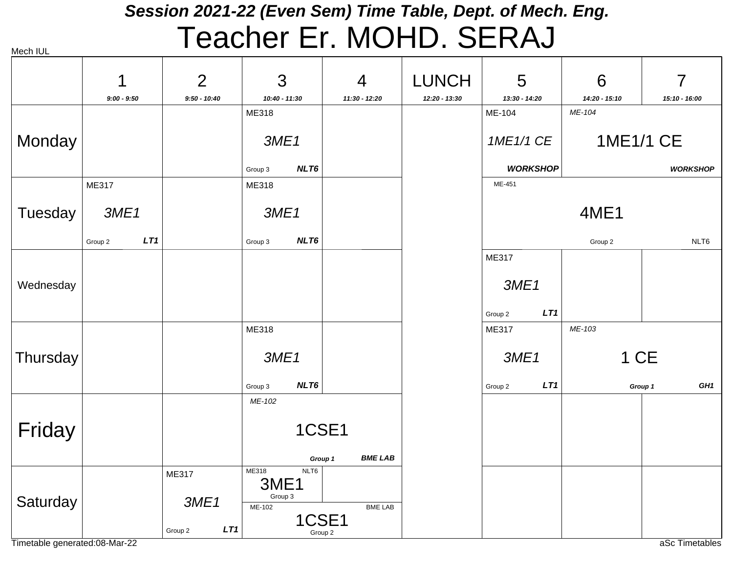#### *Session 2021-22 (Even Sem) Time Table, Dept. of Mech. Eng.* Teacher Er. MOHD. SERAJ

| Mech IUL |  |
|----------|--|

|           | 1              | $\overline{2}$ | 3                      | $\overline{4}$            | <b>LUNCH</b>  | 5                       | 6                       | $\overline{7}$             |
|-----------|----------------|----------------|------------------------|---------------------------|---------------|-------------------------|-------------------------|----------------------------|
|           | $9:00 - 9:50$  | $9:50 - 10:40$ | 10:40 - 11:30<br>ME318 | 11:30 - 12:20             | 12:20 - 13:30 | 13:30 - 14:20<br>ME-104 | 14:20 - 15:10<br>ME-104 | 15:10 - 16:00              |
| Monday    |                |                | 3ME1                   |                           |               | 1ME1/1 CE               | <b>1ME1/1 CE</b>        |                            |
|           |                |                | NLT6<br>Group 3        |                           |               | <b>WORKSHOP</b>         |                         | <b>WORKSHOP</b>            |
|           | ME317          |                | ME318                  |                           |               | ME-451                  |                         |                            |
| Tuesday   | 3ME1           |                | 3ME1                   |                           |               |                         | <b>4ME1</b>             |                            |
|           | LT1<br>Group 2 |                | NLT6<br>Group 3        |                           |               |                         | Group 2                 | NLT6                       |
|           |                |                |                        |                           |               | ME317                   |                         |                            |
| Wednesday |                |                |                        |                           |               | 3ME1                    |                         |                            |
|           |                |                |                        |                           |               | LT1<br>Group 2          |                         |                            |
|           |                |                | ME318                  |                           |               | ME317                   | ME-103                  |                            |
| Thursday  |                |                | 3ME1                   |                           |               | 3ME1                    | 1 CE                    |                            |
|           |                |                | NLT6<br>Group 3        |                           |               | LT1<br>Group 2          |                         | GH <sub>1</sub><br>Group 1 |
|           |                |                | ME-102                 |                           |               |                         |                         |                            |
| Friday    |                |                | 1CSE1                  |                           |               |                         |                         |                            |
|           |                |                |                        | <b>BME LAB</b><br>Group 1 |               |                         |                         |                            |
|           |                | <b>ME317</b>   | ME318<br>NLT6<br>3ME1  |                           |               |                         |                         |                            |
| Saturday  |                | 3ME1           | Group 3<br>ME-102      | BME LAB                   |               |                         |                         |                            |
|           |                | LT1<br>Group 2 |                        | 1CSE1<br>Group 2          |               |                         |                         |                            |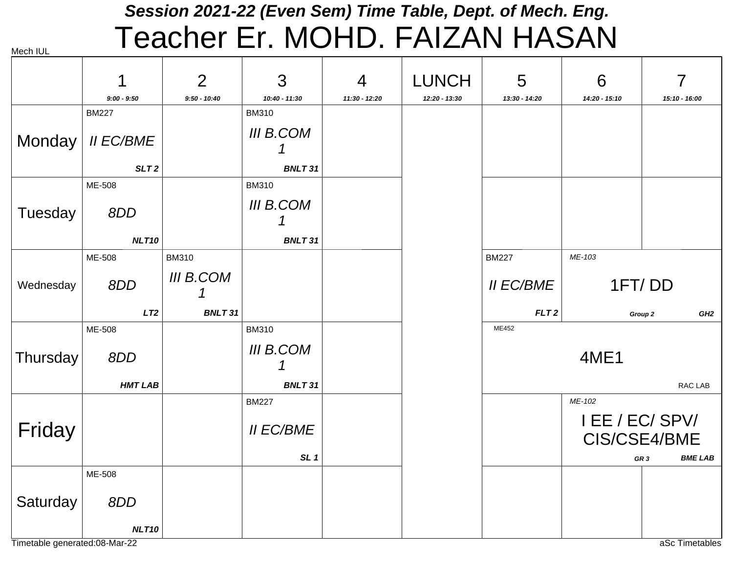#### *Session 2021-22 (Even Sem) Time Table, Dept. of Mech. Eng.* Teacher Er. MOHD. FAIZAN HASAN

| Mech IUL  |                  | <u>UUVITUT</u>   |                  |                |               |                  |               |                                 |
|-----------|------------------|------------------|------------------|----------------|---------------|------------------|---------------|---------------------------------|
|           |                  | $\overline{2}$   | 3                | $\overline{4}$ | <b>LUNCH</b>  | 5                | 6             | $\overline{7}$                  |
|           | $9:00 - 9:50$    | $9:50 - 10:40$   | 10:40 - 11:30    | 11:30 - 12:20  | 12:20 - 13:30 | 13:30 - 14:20    | 14:20 - 15:10 | 15:10 - 16:00                   |
|           | <b>BM227</b>     |                  | <b>BM310</b>     |                |               |                  |               |                                 |
| Monday    | <b>II EC/BME</b> |                  | <b>III B.COM</b> |                |               |                  |               |                                 |
|           | SLT <sub>2</sub> |                  | <b>BNLT31</b>    |                |               |                  |               |                                 |
|           | ME-508           |                  | <b>BM310</b>     |                |               |                  |               |                                 |
| Tuesday   | 8DD              |                  | <b>III B.COM</b> |                |               |                  |               |                                 |
|           | <b>NLT10</b>     |                  | <b>BNLT31</b>    |                |               |                  |               |                                 |
|           | ME-508           | <b>BM310</b>     |                  |                |               | <b>BM227</b>     | ME-103        |                                 |
| Wednesday | 8DD              | <b>III B.COM</b> |                  |                |               | <b>II EC/BME</b> |               | 1FT/DD                          |
|           | LT2              | <b>BNLT31</b>    |                  |                |               | FLT <sub>2</sub> |               | GH <sub>2</sub><br>Group 2      |
|           | ME-508           |                  | <b>BM310</b>     |                |               | ME452            |               |                                 |
| Thursday  | 8DD              |                  | <b>III B.COM</b> |                |               | 4ME1             |               |                                 |
|           | <b>HMT LAB</b>   |                  | <b>BNLT31</b>    |                |               |                  |               | RAC LAB                         |
|           |                  |                  | <b>BM227</b>     |                |               |                  | ME-102        |                                 |
| Friday    |                  |                  | <b>II EC/BME</b> |                |               |                  |               | I EE / EC/ SPV/<br>CIS/CSE4/BME |
|           |                  |                  | SL <sub>1</sub>  |                |               |                  |               | <b>BME LAB</b><br>GR 3          |
|           | ME-508           |                  |                  |                |               |                  |               |                                 |
| Saturday  | 8DD              |                  |                  |                |               |                  |               |                                 |
|           | NLT10            |                  |                  |                |               |                  |               |                                 |

Timetable generated:08-Mar-22 and the state of the state of the state of the state of the state of the state of the state of the state of the state of the state of the state of the state of the state of the state of the st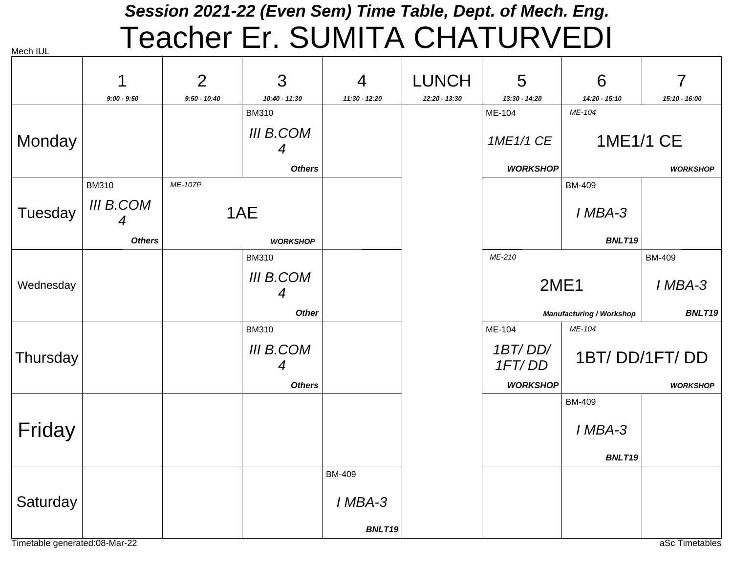# *Session 2021-22 (Even Sem) Time Table, Dept. of Mech. Eng.* Teacher Er. SUMITA CHATURVEDI

|           | 1                     | $\overline{2}$ | 3                                    | 4               | <b>LUNCH</b>  | 5                 | 6                               | 7               |
|-----------|-----------------------|----------------|--------------------------------------|-----------------|---------------|-------------------|---------------------------------|-----------------|
|           | $9:00 - 9:50$         | $9:50 - 10:40$ | 10:40 - 11:30                        | $11:30 - 12:20$ | 12:20 - 13:30 | 13:30 - 14:20     | 14:20 - 15:10                   | 15:10 - 16:00   |
|           |                       |                | <b>BM310</b>                         |                 |               | ME-104            | ME-104                          |                 |
| Monday    |                       |                | III B.COM<br>4                       |                 |               | 1ME1/1 CE         | 1ME1/1 CE                       |                 |
|           |                       |                | <b>Others</b>                        |                 |               | <b>WORKSHOP</b>   |                                 | <b>WORKSHOP</b> |
|           | <b>BM310</b>          | ME-107P        |                                      |                 |               |                   | <b>BM-409</b>                   |                 |
| Tuesday   | <b>III B.COM</b><br>4 |                | 1AE                                  |                 |               |                   | I MBA-3                         |                 |
|           | <b>Others</b>         |                | <b>WORKSHOP</b>                      |                 |               |                   | BNLT19                          |                 |
|           |                       |                | <b>BM310</b>                         |                 |               | ME-210            |                                 | <b>BM-409</b>   |
| Wednesday |                       |                | <b>III B.COM</b><br>$\boldsymbol{4}$ |                 |               | <b>2ME1</b>       |                                 | I MBA-3         |
|           |                       |                | <b>Other</b>                         |                 |               |                   | <b>Manufacturing / Workshop</b> | BNLT19          |
|           |                       |                | <b>BM310</b>                         |                 |               | ME-104            | ME-104                          |                 |
| Thursday  |                       |                | <b>III B.COM</b><br>4                |                 |               | 1BT/DD/<br>1FT/DD |                                 | 1BT/DD/1FT/DD   |
|           |                       |                | <b>Others</b>                        |                 |               | <b>WORKSHOP</b>   |                                 | <b>WORKSHOP</b> |
|           |                       |                |                                      |                 |               |                   | <b>BM-409</b>                   |                 |
| Friday    |                       |                |                                      |                 |               |                   | I MBA-3                         |                 |
|           |                       |                |                                      |                 |               |                   | BNLT19                          |                 |
|           |                       |                |                                      | <b>BM-409</b>   |               |                   |                                 |                 |
| Saturday  |                       |                |                                      | I MBA-3         |               |                   |                                 |                 |
|           |                       |                |                                      | BNLT19          |               |                   |                                 |                 |

Timetable generated:08-Mar-22 and the state of the state of the state of the state of the state of the state of the state of the state of the state of the state of the state of the state of the state of the state of the st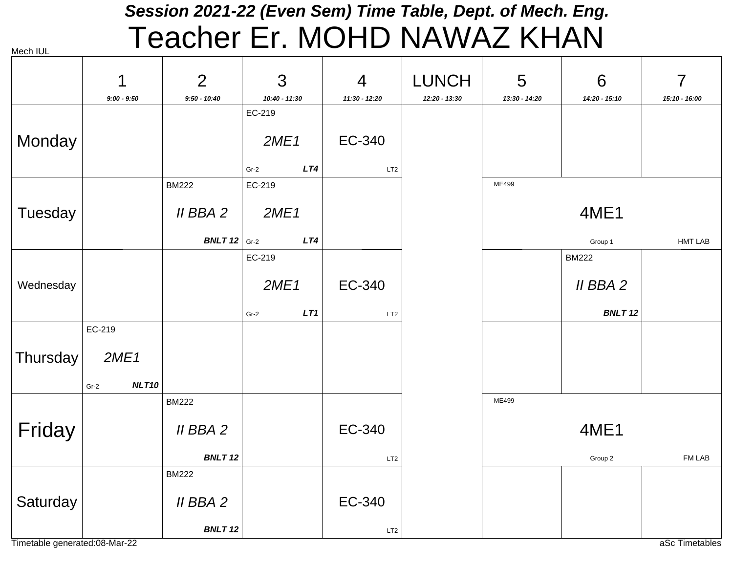# *Session 2021-22 (Even Sem) Time Table, Dept. of Mech. Eng.* Teacher Er. MOHD NAWAZ KHAN

| Mech IUL |  |
|----------|--|
|          |  |

| $\overline{7}$                            |
|-------------------------------------------|
|                                           |
| 15:10 - 16:00                             |
|                                           |
|                                           |
|                                           |
|                                           |
|                                           |
|                                           |
|                                           |
| <b>HMT LAB</b>                            |
|                                           |
|                                           |
|                                           |
| <b>BNLT12</b>                             |
|                                           |
|                                           |
|                                           |
|                                           |
|                                           |
|                                           |
|                                           |
| FM LAB                                    |
|                                           |
|                                           |
|                                           |
|                                           |
| 14:20 - 15:10<br>4ME1<br>II BBA 2<br>4ME1 |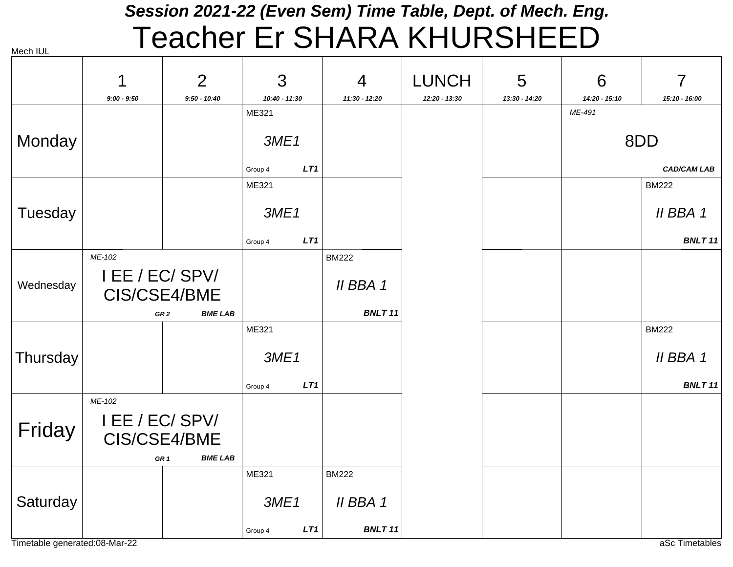# *Session 2021-22 (Even Sem) Time Table, Dept. of Mech. Eng.* Teacher Er SHARA KHURSHEED

|           | 1                                                                              | $\overline{2}$                    | 3              | $\overline{4}$ | <b>LUNCH</b>  | 5             | 6             | 7                  |
|-----------|--------------------------------------------------------------------------------|-----------------------------------|----------------|----------------|---------------|---------------|---------------|--------------------|
|           | $9:00 - 9:50$                                                                  | $9:50 - 10:40$                    | 10:40 - 11:30  | 11:30 - 12:20  | 12:20 - 13:30 | 13:30 - 14:20 | 14:20 - 15:10 | 15:10 - 16:00      |
|           |                                                                                |                                   | ME321          |                |               |               | ME-491        |                    |
| Monday    |                                                                                |                                   | 3ME1           |                |               |               |               | 8DD                |
|           |                                                                                |                                   | LT1<br>Group 4 |                |               |               |               | <b>CAD/CAM LAB</b> |
|           |                                                                                |                                   | ME321          |                |               |               |               | <b>BM222</b>       |
| Tuesday   |                                                                                |                                   | 3ME1           |                |               |               |               | II BBA 1           |
|           |                                                                                |                                   | LT1<br>Group 4 |                |               |               |               | BNLT 11            |
|           | ME-102                                                                         |                                   |                | <b>BM222</b>   |               |               |               |                    |
| Wednesday | I EE / EC/ SPV/<br>CIS/CSE4/BME                                                |                                   |                | II BBA 1       |               |               |               |                    |
|           |                                                                                | <b>BME LAB</b><br>GR <sub>2</sub> |                | <b>BNLT11</b>  |               |               |               |                    |
|           |                                                                                |                                   | ME321          |                |               |               |               | <b>BM222</b>       |
| Thursday  |                                                                                |                                   | 3ME1           |                |               |               |               | II BBA 1           |
|           |                                                                                |                                   | LT1<br>Group 4 |                |               |               |               | <b>BNLT11</b>      |
| Friday    | ME-102<br>I EE / EC/ SPV/<br>CIS/CSE4/BME<br><b>BME LAB</b><br>GR <sub>1</sub> |                                   |                |                |               |               |               |                    |
|           |                                                                                |                                   | ME321          | <b>BM222</b>   |               |               |               |                    |
| Saturday  |                                                                                |                                   | 3ME1           | II BBA 1       |               |               |               |                    |
|           |                                                                                |                                   | LT1<br>Group 4 | <b>BNLT11</b>  |               |               |               |                    |

Timetable generated:08-Mar-22 and the state of the state of the state of the state of the state of the state of the state of the state of the state of the state of the state of the state of the state of the state of the st